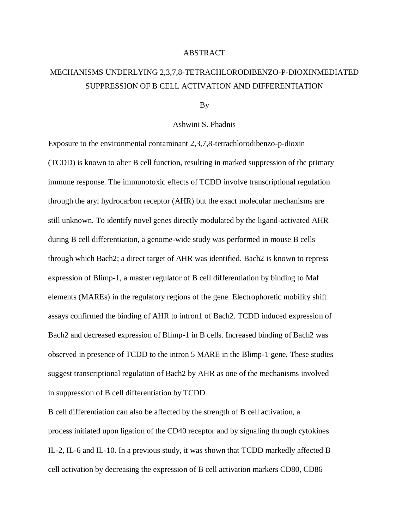## ABSTRACT

## MECHANISMS UNDERLYING 2,3,7,8-TETRACHLORODIBENZO-P-DIOXINMEDIATED SUPPRESSION OF B CELL ACTIVATION AND DIFFERENTIATION

By

## Ashwini S. Phadnis

Exposure to the environmental contaminant 2,3,7,8-tetrachlorodibenzo-p-dioxin (TCDD) is known to alter B cell function, resulting in marked suppression of the primary immune response. The immunotoxic effects of TCDD involve transcriptional regulation through the aryl hydrocarbon receptor (AHR) but the exact molecular mechanisms are still unknown. To identify novel genes directly modulated by the ligand-activated AHR during B cell differentiation, a genome-wide study was performed in mouse B cells through which Bach2; a direct target of AHR was identified. Bach2 is known to repress expression of Blimp-1, a master regulator of B cell differentiation by binding to Maf elements (MAREs) in the regulatory regions of the gene. Electrophoretic mobility shift assays confirmed the binding of AHR to intron1 of Bach2. TCDD induced expression of Bach2 and decreased expression of Blimp-1 in B cells. Increased binding of Bach2 was observed in presence of TCDD to the intron 5 MARE in the Blimp-1 gene. These studies suggest transcriptional regulation of Bach2 by AHR as one of the mechanisms involved in suppression of B cell differentiation by TCDD.

B cell differentiation can also be affected by the strength of B cell activation, a process initiated upon ligation of the CD40 receptor and by signaling through cytokines IL-2, IL-6 and IL-10. In a previous study, it was shown that TCDD markedly affected B cell activation by decreasing the expression of B cell activation markers CD80, CD86